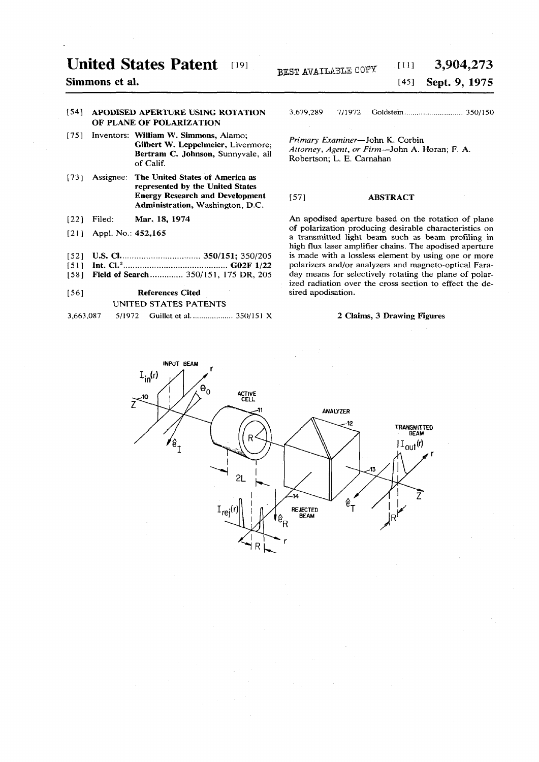### **United States Patent 19]**

## **Simmons et al.**

### **[54] APODISED APERTURE USING ROTATION OF PLANE OF POLARIZATION**

- **[75] Inventors: William W. Simmons, Alamo; Gilbert W. Leppelmeier, Livermore; Bertram C. Johnson, Sunnyvale, all of Calif.**
- **[73] Assignee: The United States of America as represented by the United States Energy Research and Development Administration, Washington, D.C.**
- **[22] Filed: Mar. 18, 1974**
- **[21] Appl. No.: 452,165**
- 
- **[52] U.S. CI 350/151; 350/205 [51] Int. CI.<sup>2</sup> G02F 1/22**
- [58] **Field of Search .............** 350/151, 175 DR, 205

## **[56] References Cited UNITED STATES PATENTS**

|  | 3,663,087. |  |  |  |  |
|--|------------|--|--|--|--|
|--|------------|--|--|--|--|

# **BEST AVAILABLE COPY** [11] **3,904,273**<br><sup>[45]</sup> **Sept. 9, 1975 [45] Sept. 16, 1975**

3,679,28 9 7/197 2 Goldstein. . 350/15 0

*Primary Examiner***—John K.. Corbin**  *Attorney, Agent, or Firm***—John A. Horan; F. A. Robertson; L. E. Carnahan** 

### **[57] ABSTRACT**

**An apodised aperture based on the rotation of plane of polarization producing desirable characteristics on a transmitted light beam such as beam profiling in high flux laser amplifier chains. The apodised aperture is made with a lossless element by using one or more polarizers and/or analyzers and magneto-optical Faraday means for selectively rotating the plane of polarized radiation over the cross section to effect the desired apodisation.** 

### **2 Claims, 3 Drawing Figures**

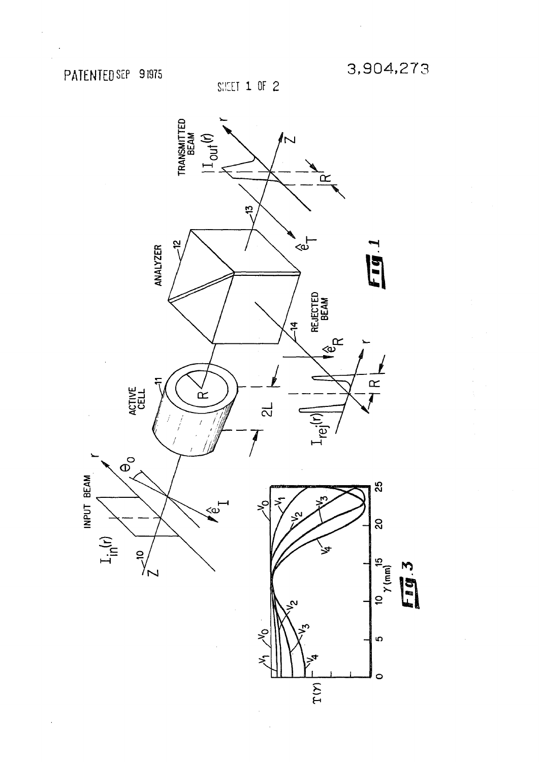$\bar{\gamma}$ 

SHEET 1 OF 2

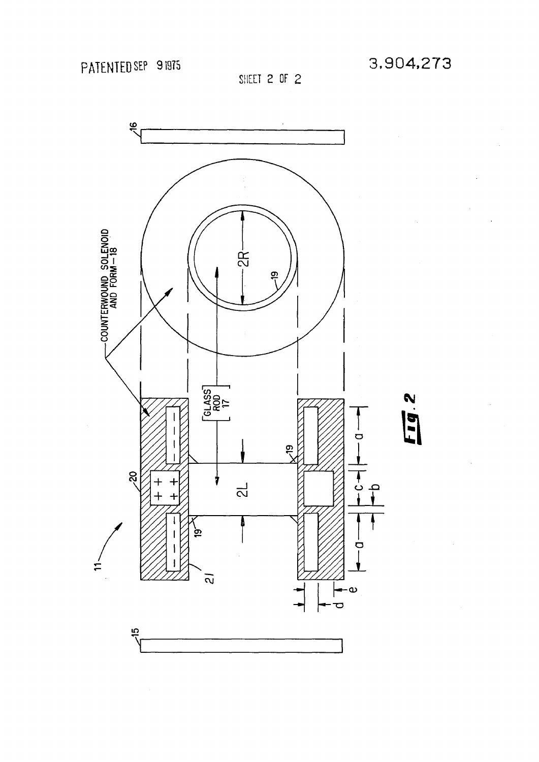SHEET 2 OF 2

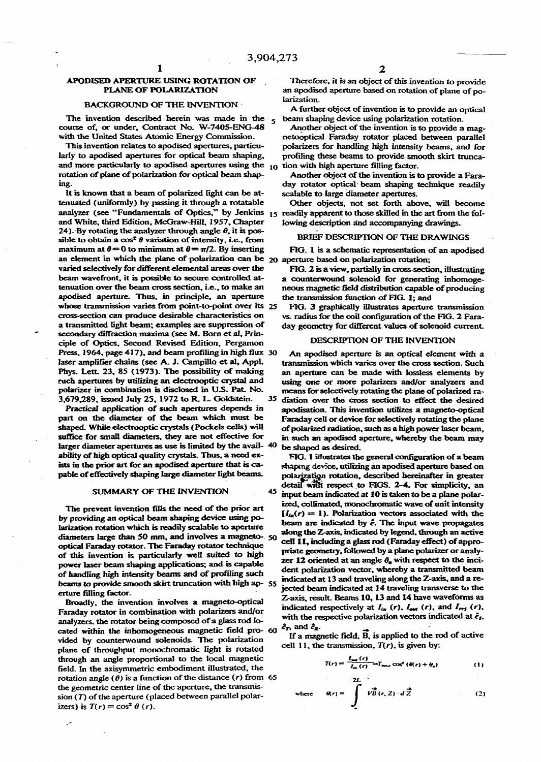### **BACKGROUND OF THE INVENTION larization.**

The invention described herein was made in the  $5$  beam shaping device using polarization rotation.<br>
pourse of, or under, Contract No. W-7405-ENG-48 Another object of the invention is to provide a magcourse of, or under, Contract No. W-7405-ENG-48 **with the United States Atomic Energy Commission. netooptical Faraday rotator placed between parallel** 

larly to apodised apertures for optical beam shaping, profiling these beams to provide smooth skirt trunca**and more particularly to apodised apertures using the<sup>1</sup> <sup>0</sup> tion with high aperture filling factor, rotation of plane of polarization for optical beam shap- Another object of the invention is to provide a Faraing. day rotator optical- beam shaping technique readily** 

**It is known that a beam of polarized light can be at- scalable to large diameter apertures, tenuated (uniformly) by passing it through a rotatable Other objects, not set forth above, will become**  analyzer (see "Fundamentals of Optics," by Jenkins 15 readily apparent to those skilled in the art from the foland White, third Edition, McGraw-Hill, 1957, Chapter lowing description and accompanying drawings. 24). By rotating the analyzer through angle  $\theta$ , it is pos**sible to obtain a cos<sup>2</sup> 0 variation of intensity, i.e., from BRIEF DESCRIPTION OF THE DRAWINGS** maximum at  $\theta = 0$  to minimum at  $\theta = \pi/2$ . By inserting FIG. 1 is a schematic representation of an apodised **an element in which the plane of polarization can be 20 aperture based on polarization rotation; varied selectively for different elemental areas over the FIG. 2 is a view, partially in cross-section, illustrating**  beam wavefront, it is possible to secure controlled at-<br>a counterwound solenoid for generating inhomoge**tenuation over the beam cross section, i.e., to make an neous magnetic field distribution capable of producing apodised aperture. Thus, in principle, an aperture the transmission function of FIG. 1; and whose transmission varies from point-to-point over its 25 FIG. 3 graphically illustrates aperture transmission cross-section can produce desirable characteristics on vs. radius for the coil configuration of the FIG. 2 Faraa transmitted light beam; examples are suppression of day geometry for different values of solenoid current,**  secondary diffraction maxima (see M. Born et al, Prin-<br>ciple of Optics, Second Penised Edition, Pergamon, **DESCRIPTION OF THE INVENTION** ciple of Optics, Second Revised Edition, Pergamon **Press, 1964, page 417), and beam profiling in high flux 30 An apodised aperture** *is* **an optical element with a laser amplifier chains (see A. J. Campillo et al, Appl, transmission which varies over the cross section. Such Phys. Lett. 23, 85 (1973). The possibility of making an aperture can be made with lossless elements by ruch apertures by utilizing an electrooptic crystal and using one or more polarizers and/or analyzers and**  polarizer in combination is disclosed in U.S. Pat. No. means for selectively rotating the plane of polarized ra-

part on the diameter of the beam which must be Faraday cell or device for selectively rotating the plane **shaped. While electrooptic crystals (Pockels cells) will of polarized radiation, such as a high power laser beam,**  suffice for small diameters, they are not effective for in such an apodised aperture, whereby the beam may larger diameter apertures as use is limited by the avail- <sup>40</sup> be shaped as desired. **ability of high optical quality crystals. Thus, a need ex- FIG. 1 illustrates the general configuration of a beam**  ists in the prior art for an apodised aperture that is ca-<br>shaping device, utilizing an apodised aperture based on

by providing an optical beam shaping device using po-<br>beam are indicated by  $\hat{e}$ . The input wave propagates **larization rotation which is readily scalable to aperture ^^^^^V^JS^ <sup>0</sup>** diameters large than 50 mm, and involves a magneto-. 50 arong the crane, intitiated by legend, tifting a ractive optical Faraday rotator. The Faraday rotator technique<br>priate geometry, followed by a plane polarizer or analy-<br>1<sup>6</sup> idea is the standard analyof this invention is particularly well suited to high phase geometry, to towed by a plane polarizer or analy-<br>power laser beam shaping apolications: and is canable zer 12 oriented at an angle  $\theta_e$  with respect to the inci power laser beam shaping applications; and is capable power taser beam shaping appreasions, and a suppose<br>of handling high intensity beams and of profiling such ... indicated at 12 and tournling along the 7 axis and beams to provide smooth skirt truncation with high ap- 55

**Faraday rotator in combination with polarizers and/or**  $\frac{1}{2}$  is  $\frac{1}{2}$  is  $\frac{1}{2}$   $\frac{1}{2}$   $\frac{1}{2}$   $\frac{1}{2}$   $\frac{1}{2}$   $\frac{1}{2}$   $\frac{1}{2}$   $\frac{1}{2}$   $\frac{1}{2}$   $\frac{1}{2}$   $\frac{1}{2}$   $\frac{1}{2}$   $\frac{1}{2}$   $\frac{1}{2}$ analyzers, the rotator being composed of a glass rod lo**cated within the in homogeneous magnetic field pro- 60** vided by counterwound solenoids. The polarization **plane of throughput monochromatic light is rotated** through an angle proportional to the local magnetic field. In the axisymmetric embodiment illustrated, the rotation angle  $(\theta)$  is a function of the distance  $(r)$  from 65 the geometric center line of the aperture, the transmis**sion (T) of the aperture (placed between parallel polar** izers) is  $T(r) = \cos^2 \theta$  (*r*).

**APODISED APERTURE USING ROTATION OF Therefore, it is an object of this invention to provide<br>PLANE OF POLARIZATION** an apodised aperture based on rotation of plane of roan apodised aperture based on rotation of plane of po-<br>larization.

**A further object of invention is to provide an optical** 

**This invention relates to apodised apertures, particu- polarizers for handling high intensity beams, and for** 

**3,679.289, issued July 25, 1972 to R. L. Goldstein. 35 diation over the cross section to effect the desired Practical application of such apertures depends in apodisation. This invention utilizes a magneto-optical** 

pable of effectively shaping large diameter light beams. polarization rotation, described hereinafter in greater detail with respect to FIGS. 2-4. For simplicity, an **SUMMARY OF THE INVENTION** 45  $\frac{1}{2}$  input beam indicated at 10 is taken to be a plane polar-The prevent invention fills the need of the prior art  $I_{in}(r) = 1$ ). Polarization vectors associated with the along the Z-axis, indicated by legend, through an active dent polarization vector, whereby a transmitted beam indicated at 13 and traveling along the Z-axis, and a rer filling factor.<br> **external or filling factor**.<br> **F**  $\frac{1}{2}$  is seen to Personal 0, 12 and 14 have unusforms as **Z-axis, result. Beams 10, 13 and 14 have waveforms as** Broadly, the invention involves a magneto-optical  $L$ -axis, result, beams 10, 15 and 14 late wavefolding as  $\hat{e}_T$ , and  $\hat{e}_R$ .

and  $e_R$ .<br>If  $e$  *accounts field*  $\overline{R}$  is contiad to the red of pation cell 11, the transmission,  $T(r)$ , is given by:

$$
T(r) = \frac{I_{out}(r)}{I_{in}(r)} = I_{max} \cos^2(\theta(r) + \theta_a)
$$
 (1)

$$
\text{where} \quad \theta(r) = \int_{0}^{2L} V \vec{B}(r, Z) \cdot d\vec{Z} \tag{2}
$$